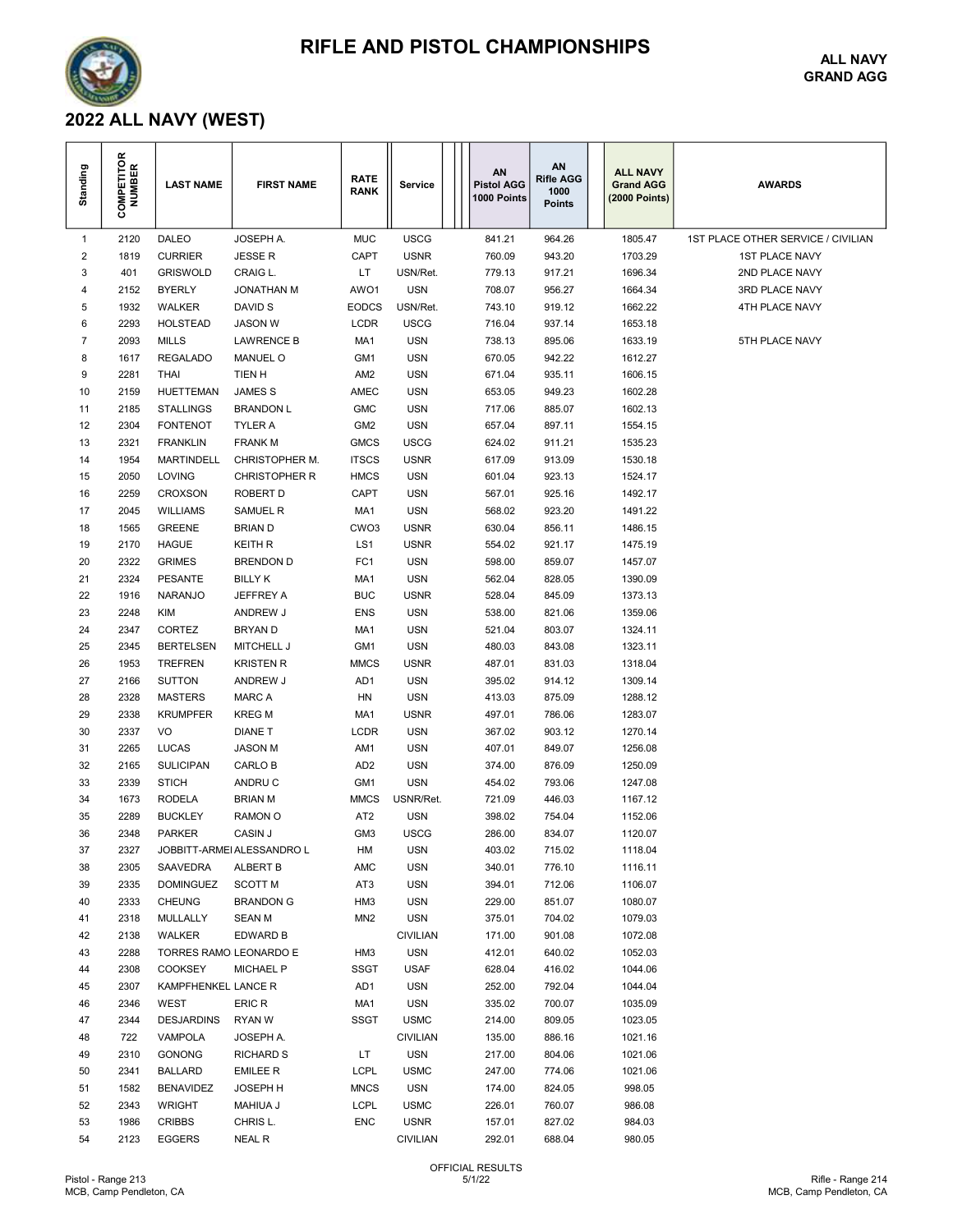

## RIFLE AND PISTOL CHAMPIONSHIPS

ALL NAVY GRAND AGG

## 2022 ALL NAVY (WEST)

| Standing    | <b>COMPETITOR</b><br>NUMBER | <b>LAST NAME</b>       | <b>FIRST NAME</b>                  | <b>RATE</b><br><b>RANK</b>         | Service                  | AN<br><b>Pistol AGG</b><br>1000 Points | AN<br><b>Rifle AGG</b><br>1000<br><b>Points</b> | <b>ALL NAVY</b><br><b>Grand AGG</b><br>(2000 Points) | <b>AWARDS</b>                      |
|-------------|-----------------------------|------------------------|------------------------------------|------------------------------------|--------------------------|----------------------------------------|-------------------------------------------------|------------------------------------------------------|------------------------------------|
| $\mathbf 1$ | 2120                        | <b>DALEO</b>           | JOSEPH A.                          | <b>MUC</b>                         | <b>USCG</b>              | 841.21                                 | 964.26                                          | 1805.47                                              | 1ST PLACE OTHER SERVICE / CIVILIAN |
| 2           | 1819                        | <b>CURRIER</b>         | <b>JESSE R</b>                     | CAPT                               | <b>USNR</b>              | 760.09                                 | 943.20                                          | 1703.29                                              | <b>1ST PLACE NAVY</b>              |
| 3           | 401                         | <b>GRISWOLD</b>        | CRAIG L.                           | LT                                 | USN/Ret.                 | 779.13                                 | 917.21                                          | 1696.34                                              | 2ND PLACE NAVY                     |
| 4           | 2152                        | <b>BYERLY</b>          | <b>JONATHAN M</b>                  | AWO1                               | <b>USN</b>               | 708.07                                 | 956.27                                          | 1664.34                                              | 3RD PLACE NAVY                     |
| 5           | 1932                        | <b>WALKER</b>          | DAVID S                            | <b>EODCS</b>                       | USN/Ret.                 | 743.10                                 | 919.12                                          | 1662.22                                              | 4TH PLACE NAVY                     |
| 6           | 2293                        | <b>HOLSTEAD</b>        | JASON W                            | <b>LCDR</b>                        | <b>USCG</b>              | 716.04                                 | 937.14                                          | 1653.18                                              |                                    |
| 7           | 2093                        | <b>MILLS</b>           | <b>LAWRENCE B</b>                  | MA1                                | <b>USN</b>               | 738.13                                 | 895.06                                          | 1633.19                                              | 5TH PLACE NAVY                     |
| 8           | 1617                        | <b>REGALADO</b>        | <b>MANUEL O</b>                    | GM1                                | <b>USN</b>               | 670.05                                 | 942.22                                          | 1612.27                                              |                                    |
| 9           | 2281                        | <b>THAI</b>            | TIEN H                             | AM <sub>2</sub>                    | <b>USN</b>               | 671.04                                 | 935.11                                          | 1606.15                                              |                                    |
| 10          | 2159                        | <b>HUETTEMAN</b>       | JAMES S                            | AMEC                               | <b>USN</b>               | 653.05                                 | 949.23                                          | 1602.28                                              |                                    |
| 11          | 2185                        | <b>STALLINGS</b>       | <b>BRANDON L</b>                   | <b>GMC</b>                         | <b>USN</b>               | 717.06                                 | 885.07                                          | 1602.13                                              |                                    |
| 12          | 2304                        | <b>FONTENOT</b>        | TYLER A                            | GM <sub>2</sub>                    | <b>USN</b>               | 657.04                                 | 897.11                                          | 1554.15                                              |                                    |
| 13          | 2321                        | <b>FRANKLIN</b>        | <b>FRANK M</b>                     | <b>GMCS</b>                        | <b>USCG</b>              | 624.02                                 | 911.21                                          | 1535.23                                              |                                    |
| 14          | 1954                        | <b>MARTINDELL</b>      | CHRISTOPHER M.                     | <b>ITSCS</b>                       | <b>USNR</b>              | 617.09                                 | 913.09                                          | 1530.18                                              |                                    |
| 15          | 2050                        | LOVING                 | <b>CHRISTOPHER R</b>               | <b>HMCS</b>                        | <b>USN</b>               | 601.04                                 | 923.13                                          | 1524.17                                              |                                    |
| 16          | 2259                        | <b>CROXSON</b>         | ROBERT D                           | CAPT                               | <b>USN</b>               | 567.01                                 | 925.16                                          | 1492.17                                              |                                    |
| 17          | 2045                        | <b>WILLIAMS</b>        | SAMUEL R                           | MA1                                | <b>USN</b>               | 568.02                                 | 923.20                                          | 1491.22                                              |                                    |
| 18          | 1565                        | <b>GREENE</b>          | <b>BRIAN D</b>                     | CWO3                               | <b>USNR</b>              | 630.04                                 | 856.11                                          | 1486.15                                              |                                    |
| 19          | 2170                        | <b>HAGUE</b>           | <b>KEITH R</b>                     | LS1                                | <b>USNR</b>              | 554.02                                 | 921.17                                          | 1475.19                                              |                                    |
| 20          | 2322                        | <b>GRIMES</b>          | <b>BRENDON D</b>                   | FC1                                | <b>USN</b>               | 598.00                                 | 859.07                                          | 1457.07                                              |                                    |
| 21          | 2324                        | <b>PESANTE</b>         | <b>BILLY K</b>                     | MA1                                | <b>USN</b>               | 562.04                                 | 828.05                                          | 1390.09                                              |                                    |
| 22          | 1916                        | <b>NARANJO</b>         | JEFFREY A                          | <b>BUC</b>                         | <b>USNR</b>              | 528.04                                 | 845.09                                          | 1373.13                                              |                                    |
| 23          | 2248                        | KIM                    | ANDREW J                           | <b>ENS</b>                         | <b>USN</b>               | 538.00                                 | 821.06                                          | 1359.06                                              |                                    |
| 24          | 2347                        | <b>CORTEZ</b>          | <b>BRYAND</b>                      | MA1                                | <b>USN</b>               | 521.04                                 | 803.07                                          | 1324.11                                              |                                    |
| 25          | 2345                        | <b>BERTELSEN</b>       | MITCHELL J                         | GM <sub>1</sub>                    | <b>USN</b>               | 480.03                                 | 843.08                                          | 1323.11                                              |                                    |
| 26          | 1953                        | <b>TREFREN</b>         | <b>KRISTEN R</b>                   | <b>MMCS</b>                        | <b>USNR</b>              | 487.01                                 | 831.03                                          | 1318.04                                              |                                    |
| 27          | 2166                        | <b>SUTTON</b>          | ANDREW J                           | AD <sub>1</sub>                    | <b>USN</b>               | 395.02                                 | 914.12                                          | 1309.14                                              |                                    |
| 28          | 2328                        | <b>MASTERS</b>         | <b>MARC A</b>                      | HN                                 | <b>USN</b>               | 413.03                                 | 875.09                                          | 1288.12                                              |                                    |
| 29          | 2338                        | <b>KRUMPFER</b>        | <b>KREG M</b>                      | MA1                                | <b>USNR</b>              | 497.01                                 | 786.06                                          | 1283.07                                              |                                    |
| 30          | 2337                        | VO                     | <b>DIANE T</b>                     | LCDR                               | <b>USN</b>               | 367.02                                 | 903.12                                          | 1270.14                                              |                                    |
| 31          | 2265                        | <b>LUCAS</b>           | <b>JASON M</b>                     | AM1                                | <b>USN</b>               | 407.01                                 | 849.07                                          | 1256.08                                              |                                    |
| 32          | 2165                        | <b>SULICIPAN</b>       | CARLO B                            | AD <sub>2</sub>                    | <b>USN</b>               | 374.00                                 | 876.09                                          | 1250.09                                              |                                    |
| 33          | 2339                        | <b>STICH</b>           | ANDRU C                            | GM1                                | <b>USN</b>               | 454.02                                 | 793.06                                          | 1247.08                                              |                                    |
| 34          | 1673                        | <b>RODELA</b>          | <b>BRIAN M</b>                     | <b>MMCS</b>                        | USNR/Ret.                | 721.09                                 | 446.03                                          | 1167.12                                              |                                    |
| 35          | 2289                        | <b>BUCKLEY</b>         | <b>RAMON O</b>                     | AT <sub>2</sub>                    | <b>USN</b>               | 398.02                                 | 754.04                                          | 1152.06                                              |                                    |
| 36          | 2348                        | <b>PARKER</b>          | CASIN J                            | GM <sub>3</sub>                    | <b>USCG</b>              | 286.00                                 | 834.07                                          | 1120.07                                              |                                    |
| 37          | 2327                        |                        | JOBBITT-ARMEI ALESSANDRO L         | HM                                 | <b>USN</b>               | 403.02                                 | 715.02                                          | 1118.04                                              |                                    |
| 38          | 2305                        | SAAVEDRA               | <b>ALBERT B</b>                    | AMC                                | <b>USN</b>               | 340.01                                 | 776.10                                          | 1116.11                                              |                                    |
| 39          | 2335                        | <b>DOMINGUEZ</b>       | <b>SCOTT M</b><br><b>BRANDON G</b> | AT3                                | <b>USN</b>               | 394.01                                 | 712.06                                          | 1106.07                                              |                                    |
| 40<br>41    | 2333<br>2318                | <b>CHEUNG</b>          |                                    | HM <sub>3</sub><br>MN <sub>2</sub> | <b>USN</b><br><b>USN</b> | 229.00                                 | 851.07                                          | 1080.07<br>1079.03                                   |                                    |
| 42          | 2138                        | MULLALLY<br>WALKER     | SEAN M<br>EDWARD B                 |                                    | <b>CIVILIAN</b>          | 375.01<br>171.00                       | 704.02<br>901.08                                | 1072.08                                              |                                    |
| 43          | 2288                        | TORRES RAMO LEONARDO E |                                    | HM <sub>3</sub>                    | <b>USN</b>               | 412.01                                 | 640.02                                          | 1052.03                                              |                                    |
| 44          | 2308                        | <b>COOKSEY</b>         | <b>MICHAEL P</b>                   | <b>SSGT</b>                        | <b>USAF</b>              | 628.04                                 | 416.02                                          | 1044.06                                              |                                    |
| 45          | 2307                        | KAMPFHENKEL LANCE R    |                                    | AD1                                | <b>USN</b>               | 252.00                                 | 792.04                                          | 1044.04                                              |                                    |
| 46          | 2346                        | WEST                   | ERIC R                             | MA1                                | <b>USN</b>               | 335.02                                 | 700.07                                          | 1035.09                                              |                                    |
| 47          | 2344                        | <b>DESJARDINS</b>      | RYAN W                             | <b>SSGT</b>                        | <b>USMC</b>              | 214.00                                 | 809.05                                          | 1023.05                                              |                                    |
| 48          | 722                         | VAMPOLA                | JOSEPH A.                          |                                    | <b>CIVILIAN</b>          | 135.00                                 | 886.16                                          | 1021.16                                              |                                    |
| 49          | 2310                        | <b>GONONG</b>          | <b>RICHARD S</b>                   | LT.                                | <b>USN</b>               | 217.00                                 | 804.06                                          | 1021.06                                              |                                    |
| 50          | 2341                        | <b>BALLARD</b>         | EMILEE R                           | <b>LCPL</b>                        | <b>USMC</b>              | 247.00                                 | 774.06                                          | 1021.06                                              |                                    |
| 51          | 1582                        | <b>BENAVIDEZ</b>       | JOSEPH H                           | <b>MNCS</b>                        | <b>USN</b>               | 174.00                                 | 824.05                                          | 998.05                                               |                                    |
| 52          | 2343                        | WRIGHT                 | <b>MAHIUA J</b>                    | <b>LCPL</b>                        | <b>USMC</b>              | 226.01                                 | 760.07                                          | 986.08                                               |                                    |
| 53          | 1986                        | CRIBBS                 | CHRIS L.                           | <b>ENC</b>                         | <b>USNR</b>              | 157.01                                 | 827.02                                          | 984.03                                               |                                    |
| 54          | 2123                        | <b>EGGERS</b>          | NEAL R                             |                                    | <b>CIVILIAN</b>          | 292.01                                 | 688.04                                          | 980.05                                               |                                    |
|             |                             |                        |                                    |                                    |                          |                                        |                                                 |                                                      |                                    |